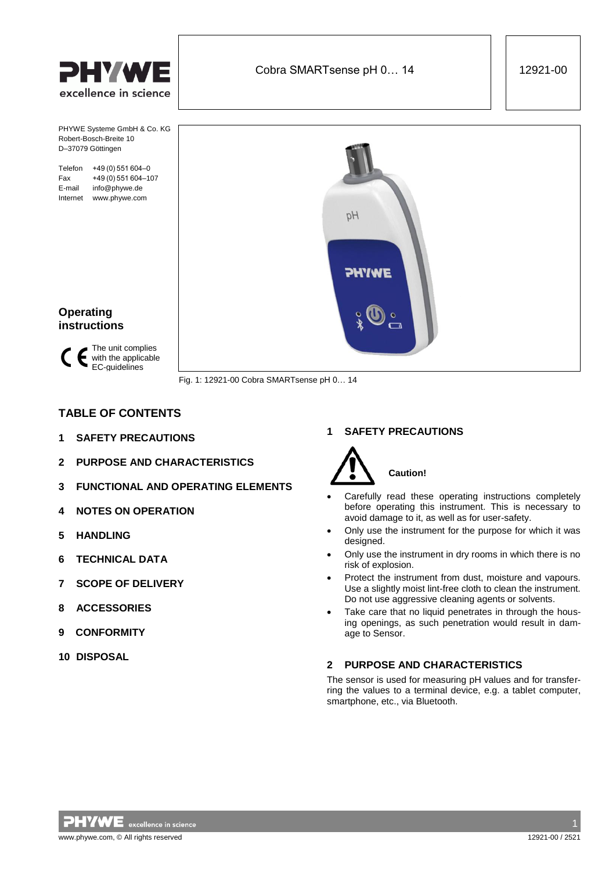



Fig. 1: 12921-00 Cobra SMARTsense pH 0… 14

# **TABLE OF CONTENTS**

- **1 [SAFETY PRECAUTIONS](#page-0-0)**
- **2 [PURPOSE AND CHARACTERISTICS](#page-0-1)**
- **3 [FUNCTIONAL AND OPERATING ELEMENTS](#page-1-0)**
- **4 [NOTES ON OPERATION](#page-1-1)**
- **[5 HANDLING](#page-1-2)**
- **6 [TECHNICAL DATA](#page-2-0)**
- **7 [SCOPE OF DELIVERY](#page-2-1)**
- **8 [ACCESSORIES](#page-2-2)**
- **[9 CONFORMITY](#page-2-3)**
- **10 [DISPOSAL](#page-2-4)**

# <span id="page-0-0"></span>**1 SAFETY PRECAUTIONS**



- Carefully read these operating instructions completely before operating this instrument. This is necessary to avoid damage to it, as well as for user-safety.
- Only use the instrument for the purpose for which it was designed.
- Only use the instrument in dry rooms in which there is no risk of explosion.
- Protect the instrument from dust, moisture and vapours. Use a slightly moist lint-free cloth to clean the instrument. Do not use aggressive cleaning agents or solvents.
- Take care that no liquid penetrates in through the housing openings, as such penetration would result in damage to Sensor.

# <span id="page-0-1"></span>**2 PURPOSE AND CHARACTERISTICS**

The sensor is used for measuring pH values and for transferring the values to a terminal device, e.g. a tablet computer, smartphone, etc., via Bluetooth.

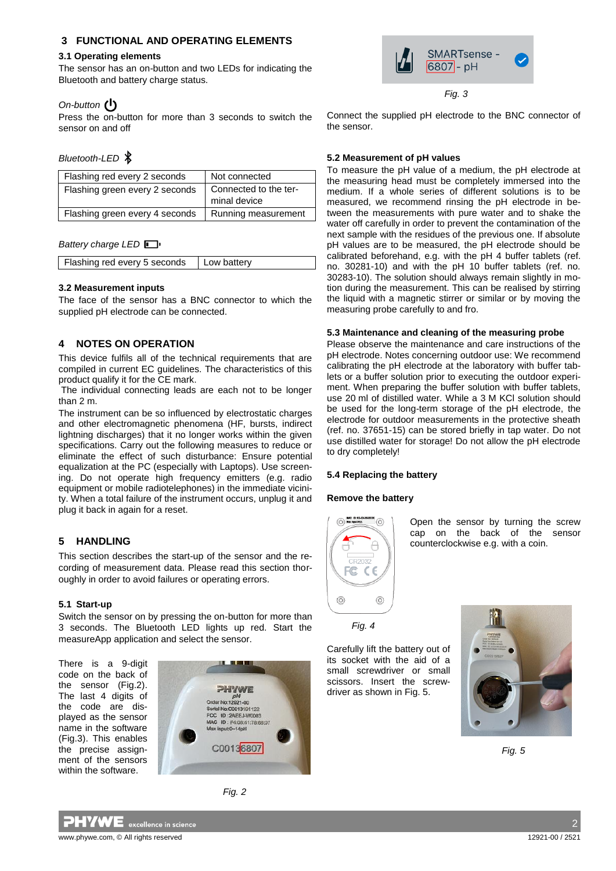## <span id="page-1-0"></span>**3 FUNCTIONAL AND OPERATING ELEMENTS**

#### **3.1 Operating elements**

The sensor has an on-button and two LEDs for indicating the Bluetooth and battery charge status.

## *On-button*

Press the on-button for more than 3 seconds to switch the sensor on and off

## *Bluetooth-LED*

| Flashing red every 2 seconds   | Not connected                         |  |
|--------------------------------|---------------------------------------|--|
| Flashing green every 2 seconds | Connected to the ter-<br>minal device |  |
| Flashing green every 4 seconds | Running measurement                   |  |

## **Battery charge LED**

## **3.2 Measurement inputs**

The face of the sensor has a BNC connector to which the supplied pH electrode can be connected.

# <span id="page-1-1"></span>**4 NOTES ON OPERATION**

<span id="page-1-2"></span>This device fulfils all of the technical requirements that are compiled in current EC guidelines. The characteristics of this product qualify it for the CE mark.

The individual connecting leads are each not to be longer than 2 m.

The instrument can be so influenced by electrostatic charges and other electromagnetic phenomena (HF, bursts, indirect lightning discharges) that it no longer works within the given specifications. Carry out the following measures to reduce or eliminate the effect of such disturbance: Ensure potential equalization at the PC (especially with Laptops). Use screening. Do not operate high frequency emitters (e.g. radio equipment or mobile radiotelephones) in the immediate vicinity. When a total failure of the instrument occurs, unplug it and plug it back in again for a reset.

# **5 HANDLING**

This section describes the start-up of the sensor and the recording of measurement data. Please read this section thoroughly in order to avoid failures or operating errors.

#### **5.1 Start-up**

Switch the sensor on by pressing the on-button for more than 3 seconds. The Bluetooth LED lights up red. Start the measureApp application and select the sensor.

There is a 9-digit code on the back of the sensor (Fig.2). The last 4 digits of the code are displayed as the sensor name in the software (Fig.3). This enables the precise assignment of the sensors within the software.









*Fig. 3*

Connect the supplied pH electrode to the BNC connector of the sensor.

## **5.2 Measurement of pH values**

To measure the pH value of a medium, the pH electrode at the measuring head must be completely immersed into the medium. If a whole series of different solutions is to be measured, we recommend rinsing the pH electrode in between the measurements with pure water and to shake the water off carefully in order to prevent the contamination of the next sample with the residues of the previous one. If absolute pH values are to be measured, the pH electrode should be calibrated beforehand, e.g. with the pH 4 buffer tablets (ref. no. 30281-10) and with the pH 10 buffer tablets (ref. no. 30283-10). The solution should always remain slightly in motion during the measurement. This can be realised by stirring the liquid with a magnetic stirrer or similar or by moving the measuring probe carefully to and fro.

## **5.3 Maintenance and cleaning of the measuring probe**

Please observe the maintenance and care instructions of the pH electrode. Notes concerning outdoor use: We recommend calibrating the pH electrode at the laboratory with buffer tablets or a buffer solution prior to executing the outdoor experiment. When preparing the buffer solution with buffer tablets, use 20 ml of distilled water. While a 3 M KCl solution should be used for the long-term storage of the pH electrode, the electrode for outdoor measurements in the protective sheath (ref. no. 37651-15) can be stored briefly in tap water. Do not use distilled water for storage! Do not allow the pH electrode to dry completely!

#### **5.4 Replacing the battery**

#### **Remove the battery**



Open the sensor by turning the screw cap on the back of the sensor counterclockwise e.g. with a coin.

*Fig. 4*

Carefully lift the battery out of its socket with the aid of a small screwdriver or small scissors. Insert the screwdriver as shown in Fig. 5.



 *Fig. 5*

2